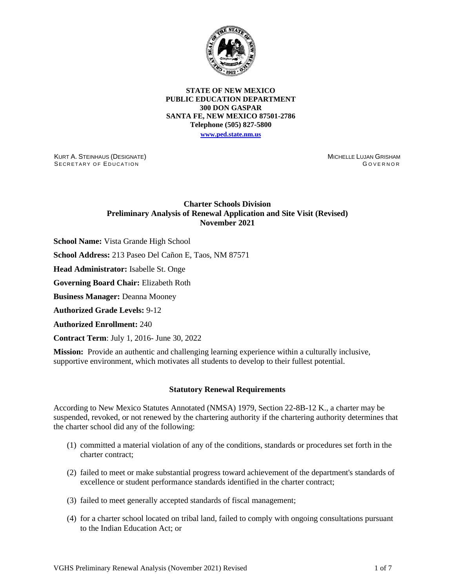

#### **STATE OF NEW MEXICO PUBLIC EDUCATION DEPARTMENT 300 DON GASPAR SANTA FE, NEW MEXICO 87501-2786 Telephone (505) 827-5800 [www.ped.state.nm.us](http://webnew.ped.state.nm.us/)**

KURT A. STEINHAUS (DESIGNATE) SECRETARY OF EDUCATION

MICHELLE LUJAN GRISHAM GOVERNOR

# **Charter Schools Division Preliminary Analysis of Renewal Application and Site Visit (Revised) November 2021**

**School Name:** Vista Grande High School

**School Address:** 213 Paseo Del Cañon E, Taos, NM 87571

**Head Administrator:** Isabelle St. Onge

**Governing Board Chair:** Elizabeth Roth

**Business Manager:** Deanna Mooney

**Authorized Grade Levels:** 9-12

**Authorized Enrollment:** 240

**Contract Term**: July 1, 2016- June 30, 2022

**Mission:** Provide an authentic and challenging learning experience within a culturally inclusive, supportive environment, which motivates all students to develop to their fullest potential.

## **Statutory Renewal Requirements**

According to New Mexico Statutes Annotated (NMSA) 1979, Section 22-8B-12 K., a charter may be suspended, revoked, or not renewed by the chartering authority if the chartering authority determines that the charter school did any of the following:

- (1) committed a material violation of any of the conditions, standards or procedures set forth in the charter contract;
- (2) failed to meet or make substantial progress toward achievement of the department's standards of excellence or student performance standards identified in the charter contract;
- (3) failed to meet generally accepted standards of fiscal management;
- (4) for a charter school located on tribal land, failed to comply with ongoing consultations pursuant to the Indian Education Act; or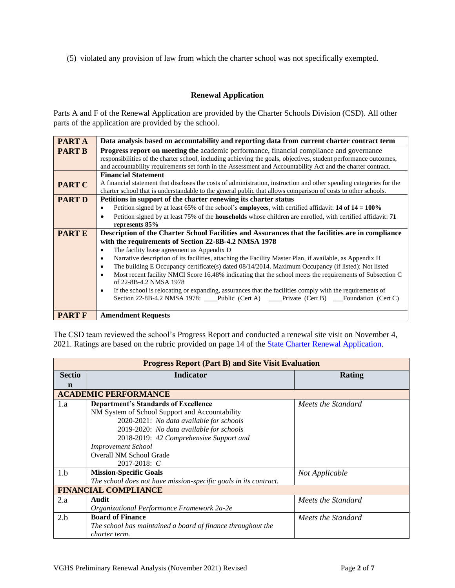(5) violated any provision of law from which the charter school was not specifically exempted.

# **Renewal Application**

Parts A and F of the Renewal Application are provided by the Charter Schools Division (CSD). All other parts of the application are provided by the school.

| PART A        | Data analysis based on accountability and reporting data from current charter contract term                                                                                                                                      |
|---------------|----------------------------------------------------------------------------------------------------------------------------------------------------------------------------------------------------------------------------------|
| <b>PART B</b> | <b>Progress report on meeting the academic performance, financial compliance and governance</b>                                                                                                                                  |
|               | responsibilities of the charter school, including achieving the goals, objectives, student performance outcomes,<br>and accountability requirements set forth in the Assessment and Accountability Act and the charter contract. |
|               | <b>Financial Statement</b>                                                                                                                                                                                                       |
| <b>PART C</b> | A financial statement that discloses the costs of administration, instruction and other spending categories for the                                                                                                              |
|               | charter school that is understandable to the general public that allows comparison of costs to other schools.                                                                                                                    |
| <b>PART D</b> | Petitions in support of the charter renewing its charter status                                                                                                                                                                  |
|               | Petition signed by at least 65% of the school's <b>employees</b> , with certified affidavit: <b>14 of 14 = 100%</b><br>٠                                                                                                         |
|               | Petition signed by at least 75% of the <b>households</b> whose children are enrolled, with certified affidavit: 71<br>$\bullet$                                                                                                  |
|               | represents 85%                                                                                                                                                                                                                   |
| <b>PARTE</b>  | Description of the Charter School Facilities and Assurances that the facilities are in compliance                                                                                                                                |
|               | with the requirements of Section 22-8B-4.2 NMSA 1978                                                                                                                                                                             |
|               | The facility lease agreement as Appendix D<br>$\bullet$                                                                                                                                                                          |
|               | Narrative description of its facilities, attaching the Facility Master Plan, if available, as Appendix H<br>٠                                                                                                                    |
|               | The building E Occupancy certificate(s) dated 08/14/2014. Maximum Occupancy (if listed): Not listed<br>$\bullet$                                                                                                                 |
|               | Most recent facility NMCI Score 16.48% indicating that the school meets the requirements of Subsection C<br>$\bullet$                                                                                                            |
|               | of 22-8B-4.2 NMSA 1978                                                                                                                                                                                                           |
|               | If the school is relocating or expanding, assurances that the facilities comply with the requirements of<br>٠                                                                                                                    |
|               | Section 22-8B-4.2 NMSA 1978: ___Public (Cert A) ___Private (Cert B) ___Foundation (Cert C)                                                                                                                                       |
|               |                                                                                                                                                                                                                                  |
| <b>PART F</b> | <b>Amendment Requests</b>                                                                                                                                                                                                        |

The CSD team reviewed the school's Progress Report and conducted a renewal site visit on November 4, 2021. Ratings are based on the rubric provided on page 14 of the [State Charter Renewal Application.](https://webnew.ped.state.nm.us/bureaus/public-education-commission/policies-and-processes/renewal-application/)

|               | <b>Progress Report (Part B) and Site Visit Evaluation</b>        |                    |  |  |  |  |
|---------------|------------------------------------------------------------------|--------------------|--|--|--|--|
| <b>Sectio</b> | <b>Indicator</b>                                                 | Rating             |  |  |  |  |
| n             |                                                                  |                    |  |  |  |  |
|               | <b>ACADEMIC PERFORMANCE</b>                                      |                    |  |  |  |  |
| 1.a           | <b>Department's Standards of Excellence</b>                      | Meets the Standard |  |  |  |  |
|               | NM System of School Support and Accountability                   |                    |  |  |  |  |
|               | 2020-2021: No data available for schools                         |                    |  |  |  |  |
|               | 2019-2020: No data available for schools                         |                    |  |  |  |  |
|               | 2018-2019: 42 Comprehensive Support and                          |                    |  |  |  |  |
|               | <b>Improvement School</b>                                        |                    |  |  |  |  |
|               | <b>Overall NM School Grade</b>                                   |                    |  |  |  |  |
|               | $2017 - 2018$ : C                                                |                    |  |  |  |  |
| 1.b           | <b>Mission-Specific Goals</b>                                    | Not Applicable     |  |  |  |  |
|               | The school does not have mission-specific goals in its contract. |                    |  |  |  |  |
|               | <b>FINANCIAL COMPLIANCE</b>                                      |                    |  |  |  |  |
| 2.a           | Audit                                                            | Meets the Standard |  |  |  |  |
|               | Organizational Performance Framework 2a-2e                       |                    |  |  |  |  |
| 2.b           | <b>Board of Finance</b>                                          | Meets the Standard |  |  |  |  |
|               | The school has maintained a board of finance throughout the      |                    |  |  |  |  |
|               | charter term.                                                    |                    |  |  |  |  |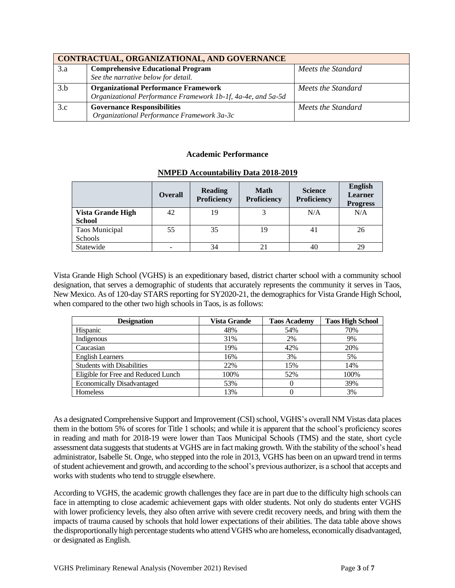|     | CONTRACTUAL, ORGANIZATIONAL, AND GOVERNANCE                  |                    |
|-----|--------------------------------------------------------------|--------------------|
| 3.a | <b>Comprehensive Educational Program</b>                     | Meets the Standard |
|     | See the narrative below for detail.                          |                    |
| 3.b | <b>Organizational Performance Framework</b>                  | Meets the Standard |
|     | Organizational Performance Framework 1b-1f, 4a-4e, and 5a-5d |                    |
| 3.c | <b>Governance Responsibilities</b>                           | Meets the Standard |
|     | Organizational Performance Framework 3a-3c                   |                    |

### **Academic Performance**

|                                           | <b>Overall</b> | <b>Reading</b><br>Proficiency | <b>Math</b><br><b>Proficiency</b> | <b>Science</b><br>Proficiency | <b>English</b><br><b>Learner</b><br><b>Progress</b> |
|-------------------------------------------|----------------|-------------------------------|-----------------------------------|-------------------------------|-----------------------------------------------------|
| <b>Vista Grande High</b><br><b>School</b> | 42             | 19                            | 3                                 | N/A                           | N/A                                                 |
| <b>Taos Municipal</b><br>Schools          | 55             | 35                            | 19                                | 41                            | 26                                                  |
| Statewide                                 |                | 34                            | 21                                | 40                            | 29                                                  |

#### **NMPED Accountability Data 2018-2019**

Vista Grande High School (VGHS) is an expeditionary based, district charter school with a community school designation, that serves a demographic of students that accurately represents the community it serves in Taos, New Mexico. As of 120-day STARS reporting for SY2020-21, the demographics for Vista Grande High School, when compared to the other two high schools in Taos, is as follows:

| <b>Designation</b>                  | Vista Grande | <b>Taos Academy</b> | <b>Taos High School</b> |
|-------------------------------------|--------------|---------------------|-------------------------|
| Hispanic                            | 48%          | 54%                 | 70%                     |
| Indigenous                          | 31%          | 2%                  | 9%                      |
| Caucasian                           | 19%          | 42%                 | 20%                     |
| <b>English Learners</b>             | 16%          | 3%                  | 5%                      |
| <b>Students with Disabilities</b>   | 22%          | 15%                 | 14%                     |
| Eligible for Free and Reduced Lunch | 100%         | 52%                 | 100%                    |
| <b>Economically Disadvantaged</b>   | 53%          |                     | 39%                     |
| Homeless                            | 13%          |                     | 3%                      |

As a designated Comprehensive Support and Improvement (CSI) school, VGHS's overall NM Vistas data places them in the bottom 5% of scores for Title 1 schools; and while it is apparent that the school's proficiency scores in reading and math for 2018-19 were lower than Taos Municipal Schools (TMS) and the state, short cycle assessment data suggests that students at VGHS are in fact making growth. With the stability of the school's head administrator, Isabelle St. Onge, who stepped into the role in 2013, VGHS has been on an upward trend in terms of student achievement and growth, and according to the school's previous authorizer, is a school that accepts and works with students who tend to struggle elsewhere.

According to VGHS, the academic growth challenges they face are in part due to the difficulty high schools can face in attempting to close academic achievement gaps with older students. Not only do students enter VGHS with lower proficiency levels, they also often arrive with severe credit recovery needs, and bring with them the impacts of trauma caused by schools that hold lower expectations of their abilities. The data table above shows the disproportionally high percentage students who attend VGHS who are homeless, economically disadvantaged, or designated as English.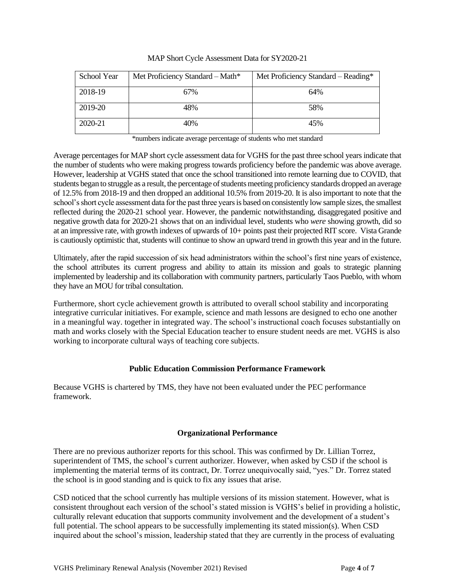| School Year | Met Proficiency Standard - Math* | Met Proficiency Standard – Reading* |
|-------------|----------------------------------|-------------------------------------|
| 2018-19     | 67%                              | 64%                                 |
| 2019-20     | 48%                              | 58%                                 |
| 2020-21     | 40%                              | 45%                                 |

|  | MAP Short Cycle Assessment Data for SY2020-21 |
|--|-----------------------------------------------|
|  |                                               |

\*numbers indicate average percentage of students who met standard

Average percentages for MAP short cycle assessment data for VGHS for the past three school years indicate that the number of students who were making progress towards proficiency before the pandemic was above average. However, leadership at VGHS stated that once the school transitioned into remote learning due to COVID, that students began to struggle as a result, the percentage of students meeting proficiency standards dropped an average of 12.5% from 2018-19 and then dropped an additional 10.5% from 2019-20. It is also important to note that the school's short cycle assessment data for the past three yearsis based on consistently low sample sizes, the smallest reflected during the 2020-21 school year. However, the pandemic notwithstanding, disaggregated positive and negative growth data for 2020-21 shows that on an individual level, students who *were* showing growth, did so at an impressive rate, with growth indexes of upwards of 10+ points past their projected RIT score. Vista Grande is cautiously optimistic that, students will continue to show an upward trend in growth this year and in the future.

Ultimately, after the rapid succession of six head administrators within the school's first nine years of existence, the school attributes its current progress and ability to attain its mission and goals to strategic planning implemented by leadership and its collaboration with community partners, particularly Taos Pueblo, with whom they have an MOU for tribal consultation.

Furthermore, short cycle achievement growth is attributed to overall school stability and incorporating integrative curricular initiatives. For example, science and math lessons are designed to echo one another in a meaningful way. together in integrated way. The school's instructional coach focuses substantially on math and works closely with the Special Education teacher to ensure student needs are met. VGHS is also working to incorporate cultural ways of teaching core subjects.

## **Public Education Commission Performance Framework**

Because VGHS is chartered by TMS, they have not been evaluated under the PEC performance framework.

## **Organizational Performance**

There are no previous authorizer reports for this school. This was confirmed by Dr. Lillian Torrez, superintendent of TMS, the school's current authorizer. However, when asked by CSD if the school is implementing the material terms of its contract, Dr. Torrez unequivocally said, "yes." Dr. Torrez stated the school is in good standing and is quick to fix any issues that arise.

CSD noticed that the school currently has multiple versions of its mission statement. However, what is consistent throughout each version of the school's stated mission is VGHS's belief in providing a holistic, culturally relevant education that supports community involvement and the development of a student's full potential. The school appears to be successfully implementing its stated mission(s). When CSD inquired about the school's mission, leadership stated that they are currently in the process of evaluating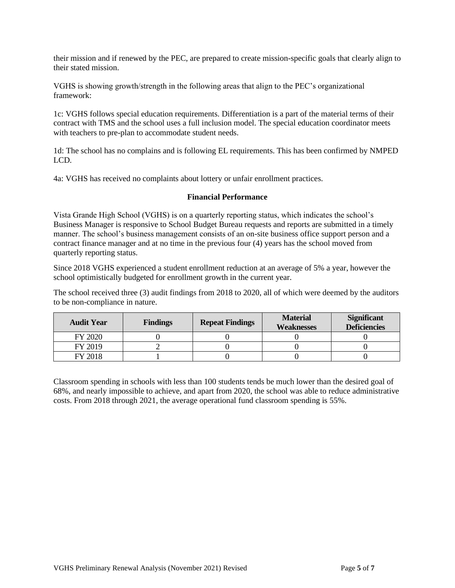their mission and if renewed by the PEC, are prepared to create mission-specific goals that clearly align to their stated mission.

VGHS is showing growth/strength in the following areas that align to the PEC's organizational framework:

1c: VGHS follows special education requirements. Differentiation is a part of the material terms of their contract with TMS and the school uses a full inclusion model. The special education coordinator meets with teachers to pre-plan to accommodate student needs.

1d: The school has no complains and is following EL requirements. This has been confirmed by NMPED LCD.

4a: VGHS has received no complaints about lottery or unfair enrollment practices.

### **Financial Performance**

Vista Grande High School (VGHS) is on a quarterly reporting status, which indicates the school's Business Manager is responsive to School Budget Bureau requests and reports are submitted in a timely manner. The school's business management consists of an on-site business office support person and a contract finance manager and at no time in the previous four (4) years has the school moved from quarterly reporting status.

Since 2018 VGHS experienced a student enrollment reduction at an average of 5% a year, however the school optimistically budgeted for enrollment growth in the current year.

The school received three (3) audit findings from 2018 to 2020, all of which were deemed by the auditors to be non-compliance in nature.

| <b>Audit Year</b> | <b>Findings</b> | <b>Repeat Findings</b> | <b>Material</b><br><b>Weaknesses</b> | <b>Significant</b><br><b>Deficiencies</b> |
|-------------------|-----------------|------------------------|--------------------------------------|-------------------------------------------|
| FY 2020           |                 |                        |                                      |                                           |
| FY 2019           |                 |                        |                                      |                                           |
| FY 2018           |                 |                        |                                      |                                           |

Classroom spending in schools with less than 100 students tends be much lower than the desired goal of 68%, and nearly impossible to achieve, and apart from 2020, the school was able to reduce administrative costs. From 2018 through 2021, the average operational fund classroom spending is 55%.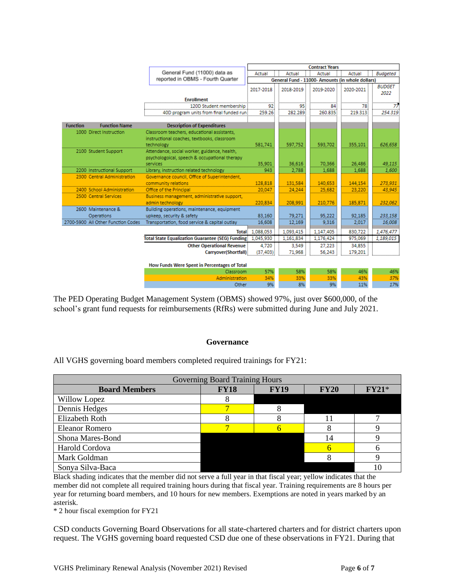|                      |                                                         |                                                          | <b>Contract Years</b>                            |           |           |           |                       |
|----------------------|---------------------------------------------------------|----------------------------------------------------------|--------------------------------------------------|-----------|-----------|-----------|-----------------------|
|                      |                                                         | General Fund (11000) data as<br>Actual                   |                                                  | Actual    | Actual    | Actual    | <b>Budgeted</b>       |
|                      |                                                         | reported in OBMS - Fourth Quarter                        | General Fund - 11000- Amounts (in whole dollars) |           |           |           |                       |
|                      |                                                         |                                                          | 2017-2018                                        | 2018-2019 | 2019-2020 | 2020-2021 | <b>BUDGET</b><br>2022 |
|                      |                                                         | <b>Enrollment</b>                                        |                                                  |           |           |           |                       |
|                      |                                                         | 120D Student membership                                  | 92                                               | 95        | 84        | 78        |                       |
|                      |                                                         | 40D program units from final funded run                  | 259.26                                           | 282.289   | 260.835   | 219.313   | 254.319               |
| <b>Function</b>      | <b>Function Name</b>                                    | <b>Description of Expenditures</b>                       |                                                  |           |           |           |                       |
|                      | 1000 Direct Instruction                                 | Classroom teachers, educational assistants,              |                                                  |           |           |           |                       |
|                      |                                                         | instructional coaches, textbooks, classroom              |                                                  |           |           |           |                       |
|                      |                                                         | technology                                               | 581.741                                          | 597,752   | 593,702   | 355,101   | 626,658               |
|                      | 2100 Student Support                                    | Attendance, social worker, guidance, health,             |                                                  |           |           |           |                       |
|                      |                                                         | psychologoical, speech & occupational therapy            |                                                  |           |           |           |                       |
|                      |                                                         | services                                                 | 35.901                                           | 36.616    | 70.366    | 26,486    | 49.115                |
|                      | 2200 Instructional Support                              | Library, instruction related technology                  | 943                                              | 2,788     | 1,688     | 1.688     | 1,600                 |
|                      | 2300 Central Administration                             | Governance council, Office of Superintendent,            |                                                  |           |           |           |                       |
|                      |                                                         | community relations                                      | 128.818                                          | 131.584   | 140.653   | 144,154   | 273.931               |
|                      | 2400 School Administration                              | Office of the Principal                                  | 20,047                                           | 24,244    | 25,682    | 23,220    | 43.945                |
|                      | 2500 Central Services                                   | Business management, administrative support,             |                                                  |           |           |           |                       |
|                      |                                                         | admin technology                                         | 220,834                                          | 208,991   | 210,776   | 185,871   | 232,062               |
|                      | 2600 Maintenance &                                      | Building operations, maintenance, equipment              |                                                  |           |           |           |                       |
|                      | <b>Operations</b><br>2700-5900 All Other Function Codes | upkeep, security & safety                                | 83,160                                           | 79.271    | 95.222    | 92.185    | 233.158               |
|                      |                                                         | Transportation, food service & capital outlay            | 16,608                                           | 12,169    | 9,316     | 2.017     | 16,008                |
|                      |                                                         | <b>Total</b>                                             | 1,088,053                                        | 1,093,415 | 1,147,405 | 830,722   | 1,476,477             |
|                      |                                                         | <b>Total State Equalization Guarantee (SEG) Funding:</b> | 1,045,930                                        | 1,161,834 | 1,176,424 | 975,069   | 1,189,015             |
|                      |                                                         | <b>Other Operational Revenue</b>                         | 4,720                                            | 3,549     | 27,223    | 34,855    |                       |
| Carryover(Shortfall) |                                                         |                                                          | (37, 403)                                        | 71,968    | 56,243    | 179,201   |                       |
|                      |                                                         |                                                          |                                                  |           |           |           |                       |
|                      |                                                         | How Funds Were Spent in Percentages of Total             |                                                  |           |           |           |                       |
|                      |                                                         | Classroom                                                | 57%                                              | 58%       | 58%       | 46%       | 46%                   |
|                      |                                                         | Administration                                           | 34%                                              | 33%       | 33%       | 43%       | 37%                   |
|                      |                                                         | Other                                                    | 9%                                               | 8%        | 9%        | 11%       | 17%                   |

The PED Operating Budget Management System (OBMS) showed 97%, just over \$600,000, of the school's grant fund requests for reimbursements (RfRs) were submitted during June and July 2021.

#### **Governance**

All VGHS governing board members completed required trainings for FY21:

| Governing Board Training Hours |             |             |             |         |  |  |
|--------------------------------|-------------|-------------|-------------|---------|--|--|
| <b>Board Members</b>           | <b>FY18</b> | <b>FY19</b> | <b>FY20</b> | $FY21*$ |  |  |
| Willow Lopez                   |             |             |             |         |  |  |
| Dennis Hedges                  |             |             |             |         |  |  |
| <b>Elizabeth Roth</b>          |             | Δ           |             |         |  |  |
| <b>Eleanor Romero</b>          |             |             |             |         |  |  |
| Shona Mares-Bond               |             |             | 14          |         |  |  |
| Harold Cordova                 |             |             |             |         |  |  |
| Mark Goldman                   |             |             |             |         |  |  |
| Sonya Silva-Baca               |             |             |             | 10      |  |  |

Black shading indicates that the member did not serve a full year in that fiscal year; yellow indicates that the member did not complete all required training hours during that fiscal year. Training requirements are 8 hours per year for returning board members, and 10 hours for new members. Exemptions are noted in years marked by an asterisk.

\* 2 hour fiscal exemption for FY21

CSD conducts Governing Board Observations for all state-chartered charters and for district charters upon request. The VGHS governing board requested CSD due one of these observations in FY21. During that